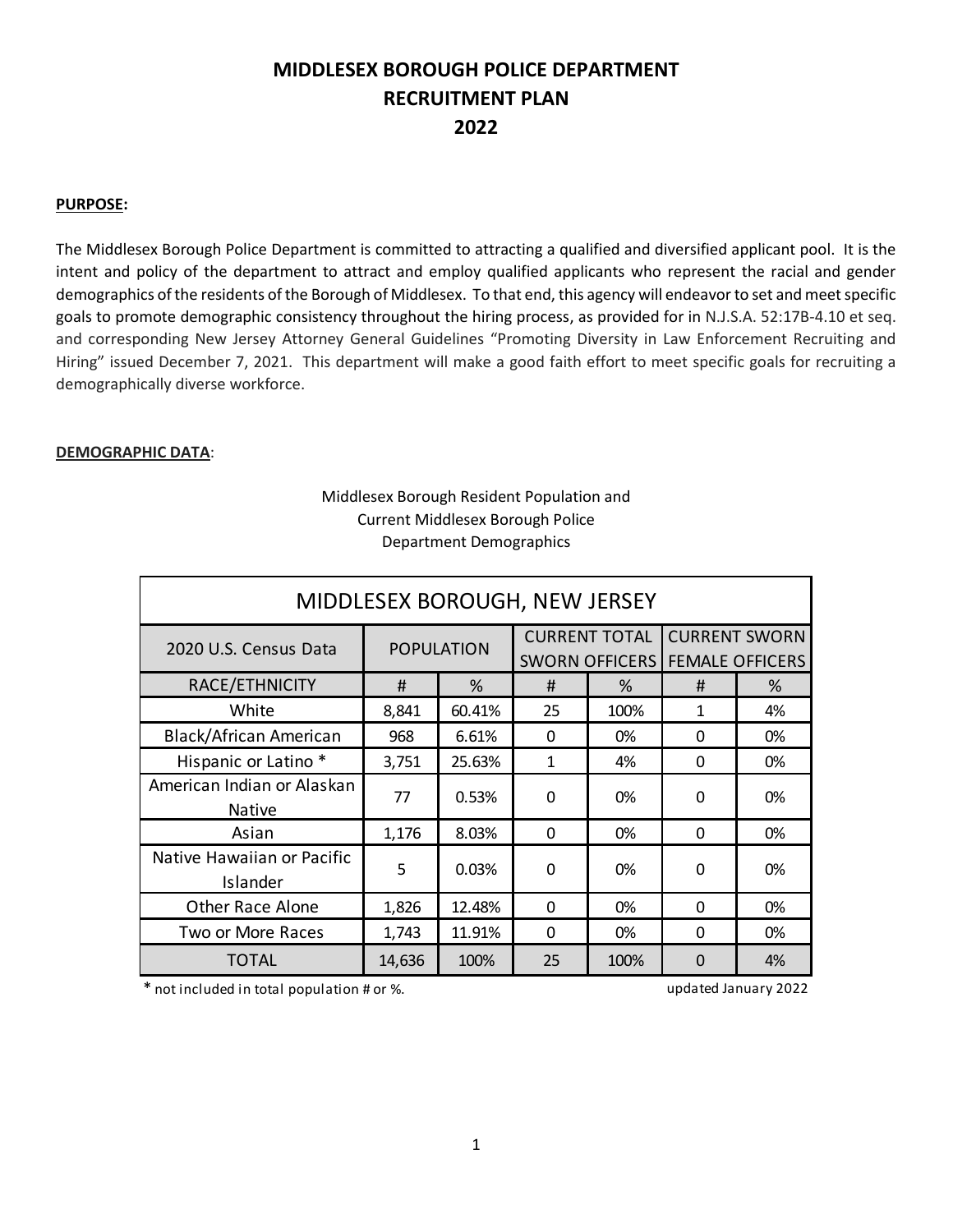# **MIDDLESEX BOROUGH POLICE DEPARTMENT RECRUITMENT PLAN 2022**

### **PURPOSE:**

The Middlesex Borough Police Department is committed to attracting a qualified and diversified applicant pool. It is the intent and policy of the department to attract and employ qualified applicants who represent the racial and gender demographics of the residents of the Borough of Middlesex. To that end, this agency will endeavor to set and meet specific goals to promote demographic consistency throughout the hiring process, as provided for in N.J.S.A. 52:17B-4.10 et seq. and corresponding New Jersey Attorney General Guidelines "Promoting Diversity in Law Enforcement Recruiting and Hiring" issued December 7, 2021. This department will make a good faith effort to meet specific goals for recruiting a demographically diverse workforce.

#### **DEMOGRAPHIC DATA**:

| MIDDLESEX BOROUGH, NEW JERSEY               |                   |        |                                               |      |                                                |    |
|---------------------------------------------|-------------------|--------|-----------------------------------------------|------|------------------------------------------------|----|
| 2020 U.S. Census Data                       | <b>POPULATION</b> |        | <b>CURRENT TOTAL</b><br><b>SWORN OFFICERS</b> |      | <b>CURRENT SWORN</b><br><b>FEMALE OFFICERS</b> |    |
| RACE/ETHNICITY                              | #                 | $\%$   | #                                             | %    | #                                              | %  |
| White                                       | 8,841             | 60.41% | 25                                            | 100% | 1                                              | 4% |
| Black/African American                      | 968               | 6.61%  | $\mathbf{0}$                                  | 0%   | $\mathbf{0}$                                   | 0% |
| Hispanic or Latino*                         | 3,751             | 25.63% | $\mathbf{1}$                                  | 4%   | $\Omega$                                       | 0% |
| American Indian or Alaskan<br><b>Native</b> | 77                | 0.53%  | $\mathbf{0}$                                  | 0%   | 0                                              | 0% |
| Asian                                       | 1,176             | 8.03%  | $\mathbf 0$                                   | 0%   | 0                                              | 0% |
| Native Hawaiian or Pacific<br>Islander      | 5                 | 0.03%  | $\Omega$                                      | 0%   | 0                                              | 0% |
| <b>Other Race Alone</b>                     | 1,826             | 12.48% | $\Omega$                                      | 0%   | $\Omega$                                       | 0% |
| Two or More Races                           | 1,743             | 11.91% | $\Omega$                                      | 0%   | $\Omega$                                       | 0% |
| TOTAL                                       | 14,636            | 100%   | 25                                            | 100% | $\overline{0}$                                 | 4% |

# Middlesex Borough Resident Population and Current Middlesex Borough Police Department Demographics

\* not included in total population # or %. updated January 2022